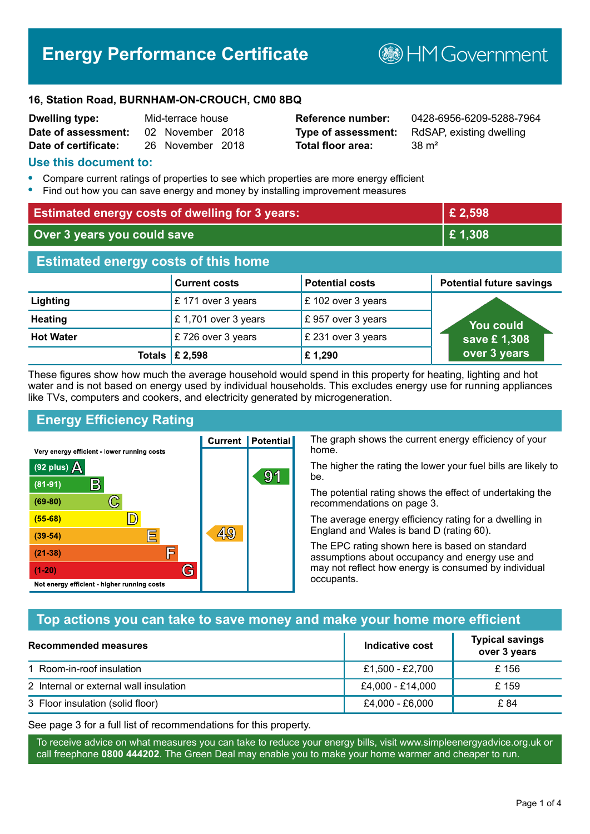# **Energy Performance Certificate**

**B**HM Government

#### **16, Station Road, BURNHAM-ON-CROUCH, CM0 8BQ**

| <b>Dwelling type:</b> | Mid-terrace house |                  |  |
|-----------------------|-------------------|------------------|--|
| Date of assessment:   |                   | 02 November 2018 |  |
| Date of certificate:  |                   | 26 November 2018 |  |

# **Total floor area:** 38 m<sup>2</sup>

**Reference number:** 0428-6956-6209-5288-7964 **Type of assessment:** RdSAP, existing dwelling

#### **Use this document to:**

- **•** Compare current ratings of properties to see which properties are more energy efficient
- **•** Find out how you can save energy and money by installing improvement measures

| <b>Estimated energy costs of dwelling for 3 years:</b> |                           |                        | £ 2,598                         |
|--------------------------------------------------------|---------------------------|------------------------|---------------------------------|
| Over 3 years you could save                            |                           | £1,308                 |                                 |
| <b>Estimated energy costs of this home</b>             |                           |                        |                                 |
|                                                        | <b>Current costs</b>      | <b>Potential costs</b> | <b>Potential future savings</b> |
| Lighting                                               | £171 over 3 years         | £102 over 3 years      |                                 |
| <b>Heating</b>                                         | £1,701 over 3 years       | £957 over 3 years      | You could                       |
| <b>Hot Water</b>                                       | £726 over 3 years         | £ 231 over 3 years     | save £1,308                     |
|                                                        | Totals $\mathsf{E}$ 2,598 | £1,290                 | over 3 years                    |

These figures show how much the average household would spend in this property for heating, lighting and hot water and is not based on energy used by individual households. This excludes energy use for running appliances like TVs, computers and cookers, and electricity generated by microgeneration.

**Current | Potential** 

<u>49</u>

 $91$ 

# **Energy Efficiency Rating**

 $\mathbb{C}$ 

 $\mathbb{D}$ 

E

庐

G

Very energy efficient - lower running costs

R

Not energy efficient - higher running costs

(92 plus)  $\Delta$ 

 $(81 - 91)$ 

 $(69 - 80)$ 

 $(55-68)$ 

 $(39 - 54)$ 

 $(21-38)$ 

 $(1-20)$ 

The graph shows the current energy efficiency of your home.

The higher the rating the lower your fuel bills are likely to be.

The potential rating shows the effect of undertaking the recommendations on page 3.

The average energy efficiency rating for a dwelling in England and Wales is band D (rating 60).

The EPC rating shown here is based on standard assumptions about occupancy and energy use and may not reflect how energy is consumed by individual occupants.

# **Top actions you can take to save money and make your home more efficient**

| Recommended measures                   | Indicative cost  | <b>Typical savings</b><br>over 3 years |
|----------------------------------------|------------------|----------------------------------------|
| 1 Room-in-roof insulation              | £1,500 - £2,700  | £156                                   |
| 2 Internal or external wall insulation | £4,000 - £14,000 | £159                                   |
| 3 Floor insulation (solid floor)       | £4,000 - £6,000  | £ 84                                   |

See page 3 for a full list of recommendations for this property.

To receive advice on what measures you can take to reduce your energy bills, visit www.simpleenergyadvice.org.uk or call freephone **0800 444202**. The Green Deal may enable you to make your home warmer and cheaper to run.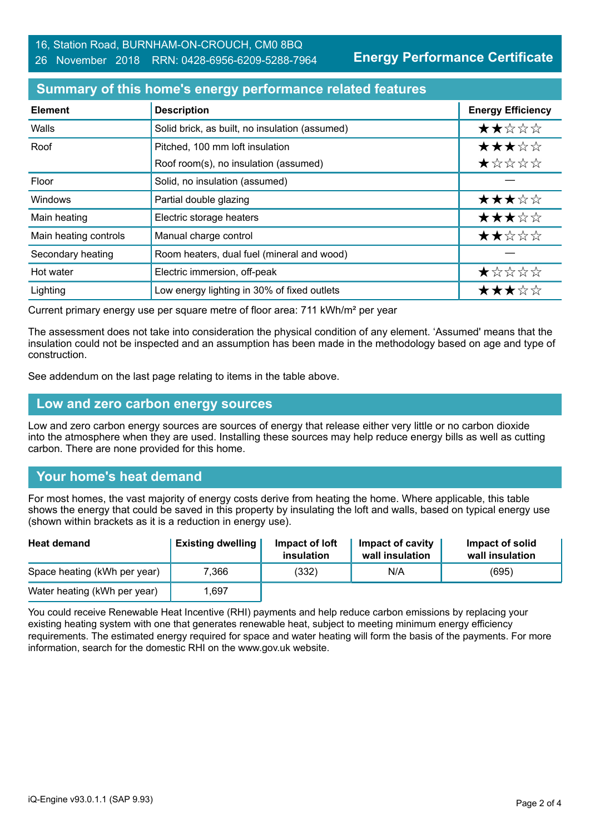**Energy Performance Certificate**

## **Summary of this home's energy performance related features**

| <b>Element</b>        | <b>Description</b>                             | <b>Energy Efficiency</b> |
|-----------------------|------------------------------------------------|--------------------------|
| Walls                 | Solid brick, as built, no insulation (assumed) | ★★☆☆☆                    |
| Roof                  | Pitched, 100 mm loft insulation                | ★★★☆☆                    |
|                       | Roof room(s), no insulation (assumed)          | ★☆☆☆☆                    |
| Floor                 | Solid, no insulation (assumed)                 |                          |
| Windows               | Partial double glazing                         | ★★★☆☆                    |
| Main heating          | Electric storage heaters                       | ★★★☆☆                    |
| Main heating controls | Manual charge control                          | ★★☆☆☆                    |
| Secondary heating     | Room heaters, dual fuel (mineral and wood)     |                          |
| Hot water             | Electric immersion, off-peak                   | ★☆☆☆☆                    |
| Lighting              | Low energy lighting in 30% of fixed outlets    | ★★★☆☆                    |

Current primary energy use per square metre of floor area: 711 kWh/m² per year

The assessment does not take into consideration the physical condition of any element. 'Assumed' means that the insulation could not be inspected and an assumption has been made in the methodology based on age and type of construction.

See addendum on the last page relating to items in the table above.

#### **Low and zero carbon energy sources**

Low and zero carbon energy sources are sources of energy that release either very little or no carbon dioxide into the atmosphere when they are used. Installing these sources may help reduce energy bills as well as cutting carbon. There are none provided for this home.

# **Your home's heat demand**

For most homes, the vast majority of energy costs derive from heating the home. Where applicable, this table shows the energy that could be saved in this property by insulating the loft and walls, based on typical energy use (shown within brackets as it is a reduction in energy use).

| <b>Heat demand</b>           | <b>Existing dwelling</b> | Impact of loft<br>insulation | Impact of cavity<br>wall insulation | Impact of solid<br>wall insulation |
|------------------------------|--------------------------|------------------------------|-------------------------------------|------------------------------------|
| Space heating (kWh per year) | 7.366                    | (332)                        | N/A                                 | (695)                              |
| Water heating (kWh per year) | .697                     |                              |                                     |                                    |

You could receive Renewable Heat Incentive (RHI) payments and help reduce carbon emissions by replacing your existing heating system with one that generates renewable heat, subject to meeting minimum energy efficiency requirements. The estimated energy required for space and water heating will form the basis of the payments. For more information, search for the domestic RHI on the www.gov.uk website.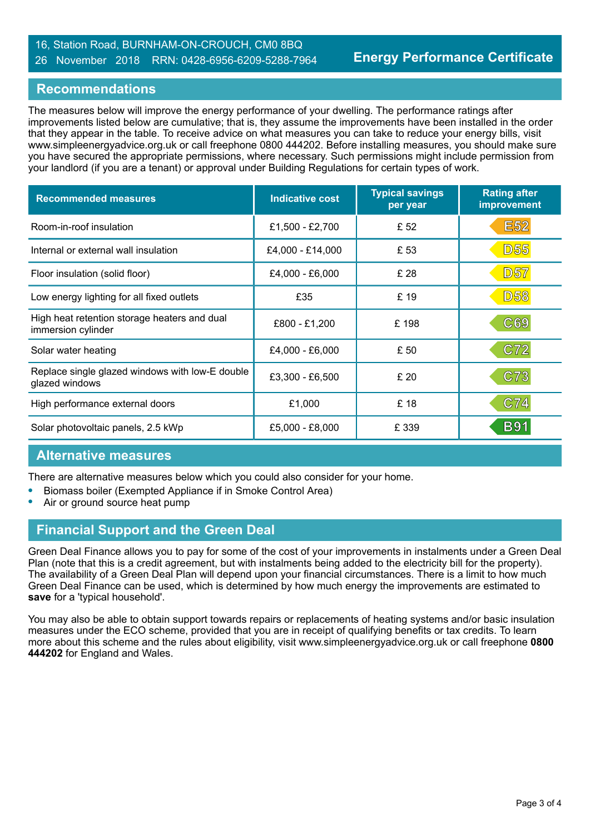#### 16, Station Road, BURNHAM-ON-CROUCH, CM0 8BQ 26 November 2018 RRN: 0428-6956-6209-5288-7964

## **Recommendations**

The measures below will improve the energy performance of your dwelling. The performance ratings after improvements listed below are cumulative; that is, they assume the improvements have been installed in the order that they appear in the table. To receive advice on what measures you can take to reduce your energy bills, visit www.simpleenergyadvice.org.uk or call freephone 0800 444202. Before installing measures, you should make sure you have secured the appropriate permissions, where necessary. Such permissions might include permission from your landlord (if you are a tenant) or approval under Building Regulations for certain types of work.

| <b>Recommended measures</b>                                        | <b>Indicative cost</b> | <b>Typical savings</b><br>per year | <b>Rating after</b><br>improvement |
|--------------------------------------------------------------------|------------------------|------------------------------------|------------------------------------|
| Room-in-roof insulation                                            | £1,500 - £2,700        | £ 52                               | <b>E52</b>                         |
| Internal or external wall insulation                               | £4,000 - £14,000       | £53                                | D55                                |
| Floor insulation (solid floor)                                     | £4,000 - £6,000        | £ 28                               | <b>D57</b>                         |
| Low energy lighting for all fixed outlets                          | £35                    | £19                                | <b>D58</b>                         |
| High heat retention storage heaters and dual<br>immersion cylinder | £800 - £1,200          | £198                               | C69                                |
| Solar water heating                                                | £4,000 - £6,000        | £50                                | C72                                |
| Replace single glazed windows with low-E double<br>glazed windows  | £3,300 - £6,500        | £20                                | C73                                |
| High performance external doors                                    | £1,000                 | £18                                | C74                                |
| Solar photovoltaic panels, 2.5 kWp                                 | £5,000 - £8,000        | £ 339                              | <b>B91</b>                         |

# **Alternative measures**

There are alternative measures below which you could also consider for your home.

- **•** Biomass boiler (Exempted Appliance if in Smoke Control Area)
- **•** Air or ground source heat pump

# **Financial Support and the Green Deal**

Green Deal Finance allows you to pay for some of the cost of your improvements in instalments under a Green Deal Plan (note that this is a credit agreement, but with instalments being added to the electricity bill for the property). The availability of a Green Deal Plan will depend upon your financial circumstances. There is a limit to how much Green Deal Finance can be used, which is determined by how much energy the improvements are estimated to **save** for a 'typical household'.

You may also be able to obtain support towards repairs or replacements of heating systems and/or basic insulation measures under the ECO scheme, provided that you are in receipt of qualifying benefits or tax credits. To learn more about this scheme and the rules about eligibility, visit www.simpleenergyadvice.org.uk or call freephone **0800 444202** for England and Wales.